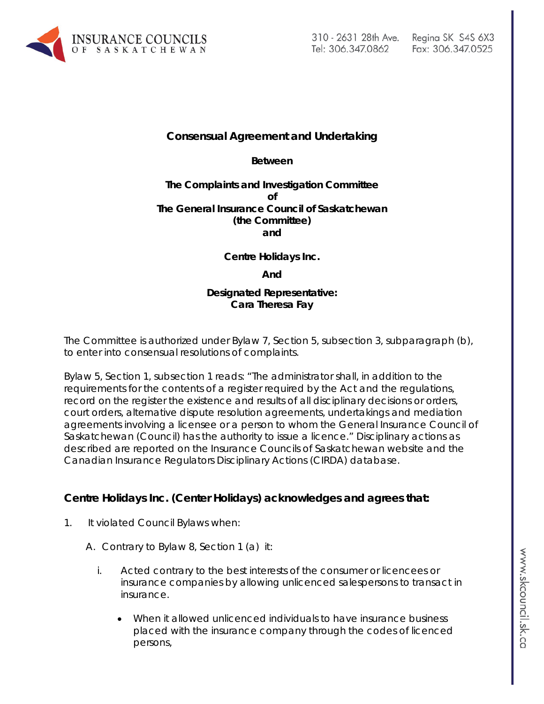

## **Consensual Agreement and Undertaking**

**Between**

#### **The Complaints and Investigation Committee of The General Insurance Council of Saskatchewan (the Committee) and**

**Centre Holidays Inc.**

**And**

### **Designated Representative: Cara Theresa Fay**

The Committee is authorized under Bylaw 7, Section 5, subsection 3, subparagraph (b), to enter into consensual resolutions of complaints.

Bylaw 5, Section 1, subsection 1 reads: "The administrator shall, in addition to the requirements for the contents of a register required by the Act and the regulations, record on the register the existence and results of all disciplinary decisions or orders, court orders, alternative dispute resolution agreements, undertakings and mediation agreements involving a licensee or a person to whom the General Insurance Council of Saskatchewan (Council) has the authority to issue a licence." Disciplinary actions as described are reported on the Insurance Councils of Saskatchewan website and the Canadian Insurance Regulators Disciplinary Actions (CIRDA) database.

# **Centre Holidays Inc. (Center Holidays) acknowledges and agrees that:**

- 1. It violated Council Bylaws when:
	- A. Contrary to Bylaw 8, Section 1 (a) it:
		- i. Acted contrary to the best interests of the consumer or licencees or insurance companies by allowing unlicenced salespersons to transact in insurance.
			- When it allowed unlicenced individuals to have insurance business placed with the insurance company through the codes of licenced persons,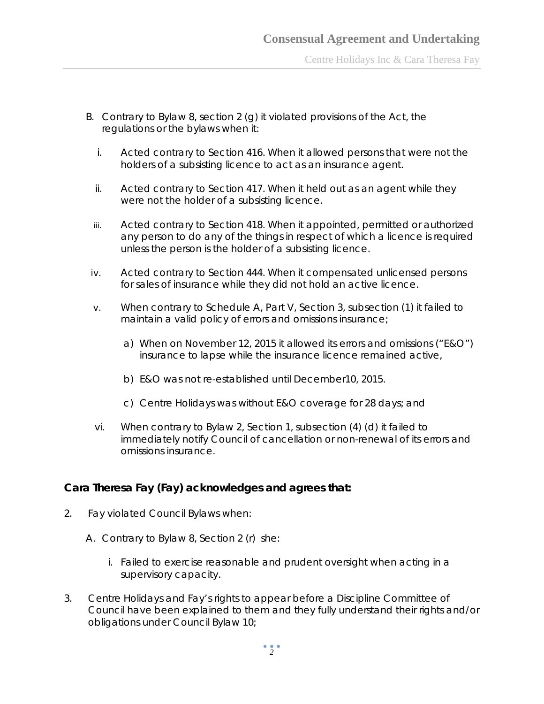- B. Contrary to Bylaw 8, section 2 (g) it violated provisions of the Act, the regulations or the bylaws when it:
	- i. Acted contrary to Section 416. When it allowed persons that were not the holders of a subsisting licence to act as an insurance agent.
	- ii. Acted contrary to Section 417. When it held out as an agent while they were not the holder of a subsisting licence.
	- iii. Acted contrary to Section 418. When it appointed, permitted or authorized any person to do any of the things in respect of which a licence is required unless the person is the holder of a subsisting licence.
- iv. Acted contrary to Section 444. When it compensated unlicensed persons for sales of insurance while they did not hold an active licence.
- v. When contrary to Schedule A, Part V, Section 3, subsection (1) it failed to maintain a valid policy of errors and omissions insurance;
	- a) When on November 12, 2015 it allowed its errors and omissions ("E&O") insurance to lapse while the insurance licence remained active,
	- b) E&O was not re-established until December10, 2015.
	- c) Centre Holidays was without E&O coverage for 28 days; and
- vi. When contrary to Bylaw 2, Section 1, subsection (4) (d) it failed to immediately notify Council of cancellation or non-renewal of its errors and omissions insurance.

# **Cara Theresa Fay (Fay) acknowledges and agrees that:**

- 2. Fay violated Council Bylaws when:
	- A. Contrary to Bylaw 8, Section 2 (r) she:
		- i. Failed to exercise reasonable and prudent oversight when acting in a supervisory capacity.
- 3. Centre Holidays and Fay's rights to appear before a Discipline Committee of Council have been explained to them and they fully understand their rights and/or obligations under Council Bylaw 10;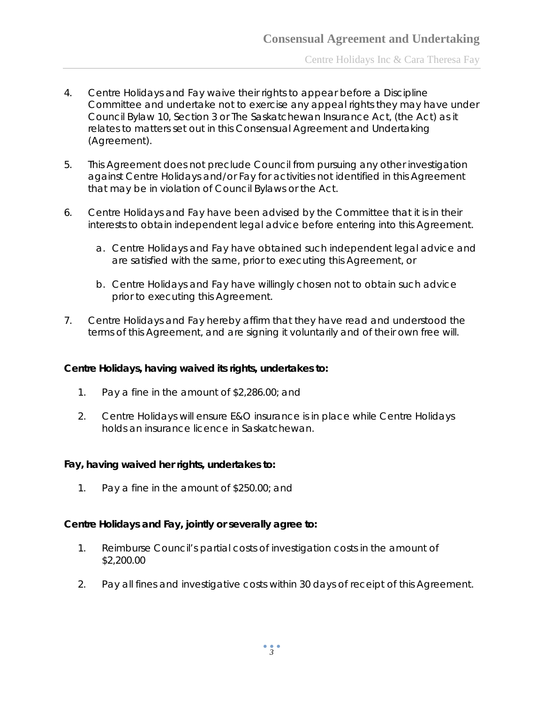Centre Holidays Inc & Cara Theresa Fay

- 4. Centre Holidays and Fay waive their rights to appear before a Discipline Committee and undertake not to exercise any appeal rights they may have under Council Bylaw 10, Section 3 or *The Saskatchewan Insurance Act,* (the Act) as it relates to matters set out in this Consensual Agreement and Undertaking (Agreement).
- 5. This Agreement does not preclude Council from pursuing any other investigation against Centre Holidays and/or Fay for activities not identified in this Agreement that may be in violation of Council Bylaws or the Act.
- 6. Centre Holidays and Fay have been advised by the Committee that it is in their interests to obtain independent legal advice before entering into this Agreement.
	- a. Centre Holidays and Fay have obtained such independent legal advice and are satisfied with the same, prior to executing this Agreement, or
	- b. Centre Holidays and Fay have willingly chosen not to obtain such advice prior to executing this Agreement.
- 7. Centre Holidays and Fay hereby affirm that they have read and understood the terms of this Agreement, and are signing it voluntarily and of their own free will.

## **Centre Holidays, having waived its rights, undertakes to:**

- 1. Pay a fine in the amount of \$2,286.00; and
- 2. Centre Holidays will ensure E&O insurance is in place while Centre Holidays holds an insurance licence in Saskatchewan.

#### **Fay, having waived her rights, undertakes to:**

1. Pay a fine in the amount of \$250.00; and

## **Centre Holidays and Fay, jointly or severally agree to:**

- 1. Reimburse Council's partial costs of investigation costs in the amount of \$2,200.00
- 2. Pay all fines and investigative costs within 30 days of receipt of this Agreement.